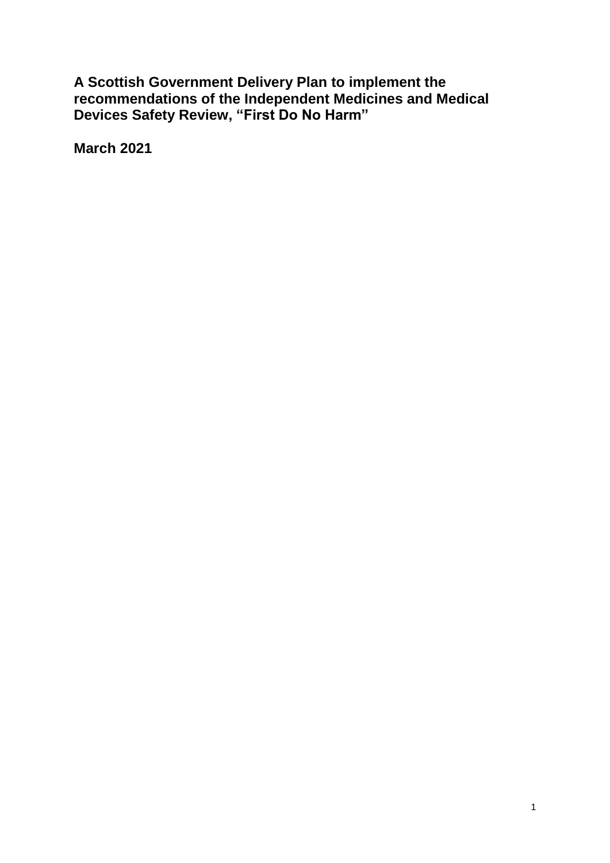**A Scottish Government Delivery Plan to implement the recommendations of the Independent Medicines and Medical Devices Safety Review, "First Do No Harm"**

**March 2021**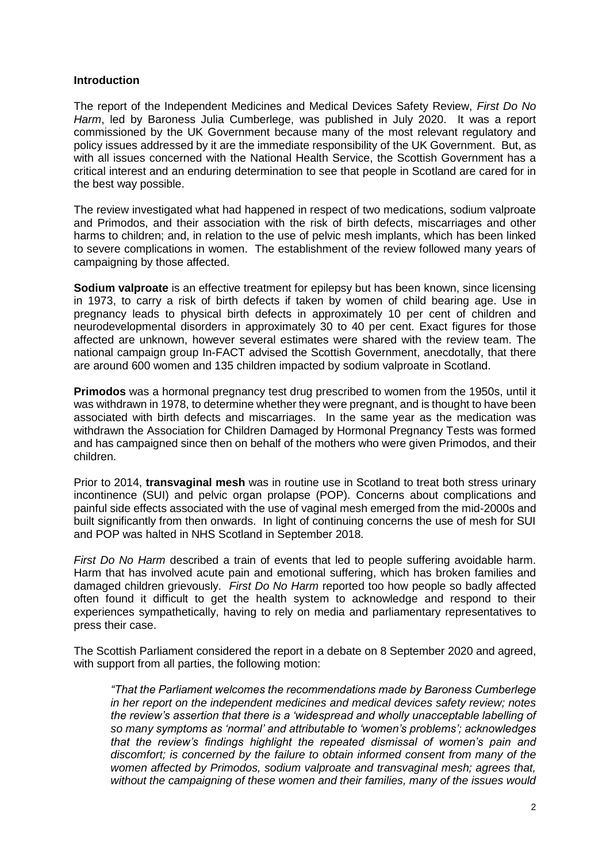## **Introduction**

The report of the Independent Medicines and Medical Devices Safety Review, *First Do No Harm*, led by Baroness Julia Cumberlege, was published in July 2020. It was a report commissioned by the UK Government because many of the most relevant regulatory and policy issues addressed by it are the immediate responsibility of the UK Government. But, as with all issues concerned with the National Health Service, the Scottish Government has a critical interest and an enduring determination to see that people in Scotland are cared for in the best way possible.

The review investigated what had happened in respect of two medications, sodium valproate and Primodos, and their association with the risk of birth defects, miscarriages and other harms to children; and, in relation to the use of pelvic mesh implants, which has been linked to severe complications in women. The establishment of the review followed many years of campaigning by those affected.

**Sodium valproate** is an effective treatment for epilepsy but has been known, since licensing in 1973, to carry a risk of birth defects if taken by women of child bearing age. Use in pregnancy leads to physical birth defects in approximately 10 per cent of children and neurodevelopmental disorders in approximately 30 to 40 per cent. Exact figures for those affected are unknown, however several estimates were shared with the review team. The national campaign group In-FACT advised the Scottish Government, anecdotally, that there are around 600 women and 135 children impacted by sodium valproate in Scotland.

**Primodos** was a hormonal pregnancy test drug prescribed to women from the 1950s, until it was withdrawn in 1978, to determine whether they were pregnant, and is thought to have been associated with birth defects and miscarriages. In the same year as the medication was withdrawn the Association for Children Damaged by Hormonal Pregnancy Tests was formed and has campaigned since then on behalf of the mothers who were given Primodos, and their children.

Prior to 2014, **transvaginal mesh** was in routine use in Scotland to treat both stress urinary incontinence (SUI) and pelvic organ prolapse (POP). Concerns about complications and painful side effects associated with the use of vaginal mesh emerged from the mid-2000s and built significantly from then onwards. In light of continuing concerns the use of mesh for SUI and POP was halted in NHS Scotland in September 2018.

*First Do No Harm* described a train of events that led to people suffering avoidable harm. Harm that has involved acute pain and emotional suffering, which has broken families and damaged children grievously. *First Do No Harm* reported too how people so badly affected often found it difficult to get the health system to acknowledge and respond to their experiences sympathetically, having to rely on media and parliamentary representatives to press their case.

The Scottish Parliament considered the report in a debate on 8 September 2020 and agreed, with support from all parties, the following motion:

*"That the Parliament welcomes the recommendations made by Baroness Cumberlege in her report on the independent medicines and medical devices safety review; notes the review's assertion that there is a 'widespread and wholly unacceptable labelling of so many symptoms as 'normal' and attributable to 'women's problems'; acknowledges that the review's findings highlight the repeated dismissal of women's pain and discomfort; is concerned by the failure to obtain informed consent from many of the women affected by Primodos, sodium valproate and transvaginal mesh; agrees that, without the campaigning of these women and their families, many of the issues would*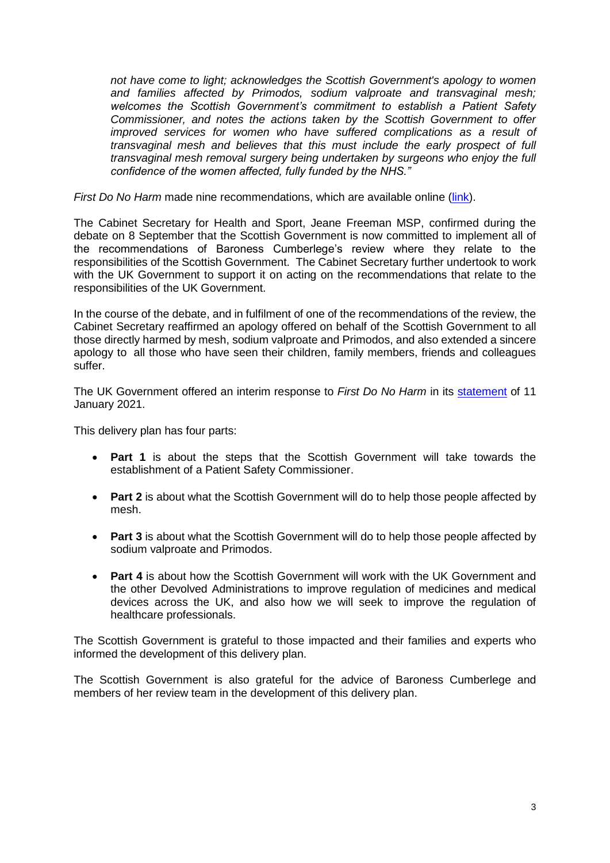*not have come to light; acknowledges the Scottish Government's apology to women and families affected by Primodos, sodium valproate and transvaginal mesh; welcomes the Scottish Government's commitment to establish a Patient Safety Commissioner, and notes the actions taken by the Scottish Government to offer improved services for women who have suffered complications as a result of transvaginal mesh and believes that this must include the early prospect of full transvaginal mesh removal surgery being undertaken by surgeons who enjoy the full confidence of the women affected, fully funded by the NHS."*

*First Do No Harm* made nine recommendations, which are available online [\(link\)](https://www.immdsreview.org.uk/Report.html).

The Cabinet Secretary for Health and Sport, Jeane Freeman MSP, confirmed during the debate on 8 September that the Scottish Government is now committed to implement all of the recommendations of Baroness Cumberlege's review where they relate to the responsibilities of the Scottish Government. The Cabinet Secretary further undertook to work with the UK Government to support it on acting on the recommendations that relate to the responsibilities of the UK Government.

In the course of the debate, and in fulfilment of one of the recommendations of the review, the Cabinet Secretary reaffirmed an apology offered on behalf of the Scottish Government to all those directly harmed by mesh, sodium valproate and Primodos, and also extended a sincere apology to all those who have seen their children, family members, friends and colleagues suffer.

The UK Government offered an interim response to *First Do No Harm* in its [statement](https://www.gov.uk/government/speeches/update-on-the-governments-response-to-the-independent-medicines-and-medical-devices-safety-review) of 11 January 2021.

This delivery plan has four parts:

- **Part 1** is about the steps that the Scottish Government will take towards the establishment of a Patient Safety Commissioner.
- Part 2 is about what the Scottish Government will do to help those people affected by mesh.
- **Part 3** is about what the Scottish Government will do to help those people affected by sodium valproate and Primodos.
- **Part 4** is about how the Scottish Government will work with the UK Government and the other Devolved Administrations to improve regulation of medicines and medical devices across the UK, and also how we will seek to improve the regulation of healthcare professionals.

The Scottish Government is grateful to those impacted and their families and experts who informed the development of this delivery plan.

The Scottish Government is also grateful for the advice of Baroness Cumberlege and members of her review team in the development of this delivery plan.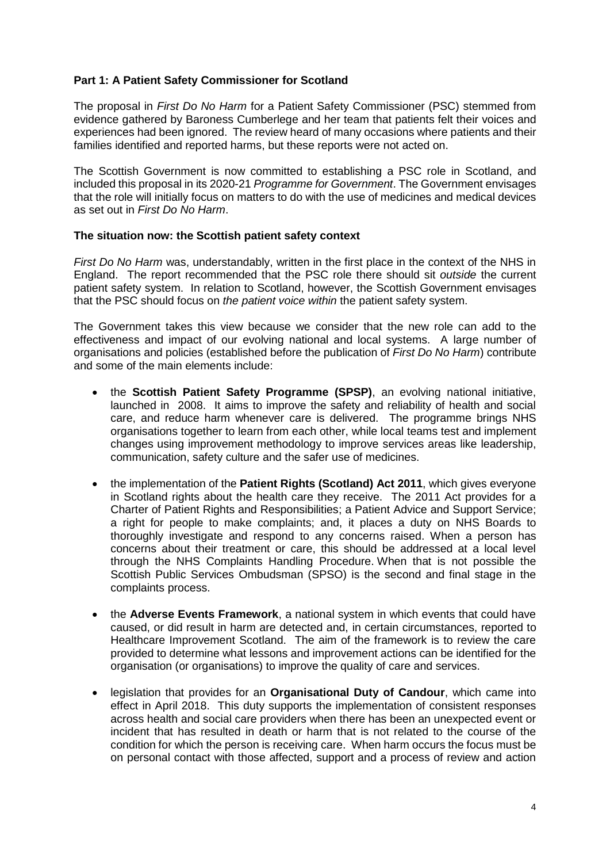# **Part 1: A Patient Safety Commissioner for Scotland**

The proposal in *First Do No Harm* for a Patient Safety Commissioner (PSC) stemmed from evidence gathered by Baroness Cumberlege and her team that patients felt their voices and experiences had been ignored. The review heard of many occasions where patients and their families identified and reported harms, but these reports were not acted on.

The Scottish Government is now committed to establishing a PSC role in Scotland, and included this proposal in its 2020-21 *Programme for Government*. The Government envisages that the role will initially focus on matters to do with the use of medicines and medical devices as set out in *First Do No Harm*.

#### **The situation now: the Scottish patient safety context**

*First Do No Harm* was, understandably, written in the first place in the context of the NHS in England. The report recommended that the PSC role there should sit *outside* the current patient safety system. In relation to Scotland, however, the Scottish Government envisages that the PSC should focus on *the patient voice within* the patient safety system.

The Government takes this view because we consider that the new role can add to the effectiveness and impact of our evolving national and local systems. A large number of organisations and policies (established before the publication of *First Do No Harm*) contribute and some of the main elements include:

- the **Scottish Patient Safety Programme (SPSP)**, an evolving national initiative, launched in 2008. It aims to improve the safety and reliability of health and social care, and reduce harm whenever care is delivered. The programme brings NHS organisations together to learn from each other, while local teams test and implement changes using improvement methodology to improve services areas like leadership, communication, safety culture and the safer use of medicines.
- the implementation of the **Patient Rights (Scotland) Act 2011**, which gives everyone in Scotland rights about the health care they receive. The 2011 Act provides for a Charter of Patient Rights and Responsibilities; a Patient Advice and Support Service; a right for people to make complaints; and, it places a duty on NHS Boards to thoroughly investigate and respond to any concerns raised. When a person has concerns about their treatment or care, this should be addressed at a local level through the NHS Complaints Handling Procedure. When that is not possible the Scottish Public Services Ombudsman (SPSO) is the second and final stage in the complaints process.
- the **Adverse Events Framework**, a national system in which events that could have caused, or did result in harm are detected and, in certain circumstances, reported to Healthcare Improvement Scotland. The aim of the framework is to review the care provided to determine what lessons and improvement actions can be identified for the organisation (or organisations) to improve the quality of care and services.
- legislation that provides for an **Organisational Duty of Candour**, which came into effect in April 2018. This duty supports the implementation of consistent responses across health and social care providers when there has been an unexpected event or incident that has resulted in death or harm that is not related to the course of the condition for which the person is receiving care. When harm occurs the focus must be on personal contact with those affected, support and a process of review and action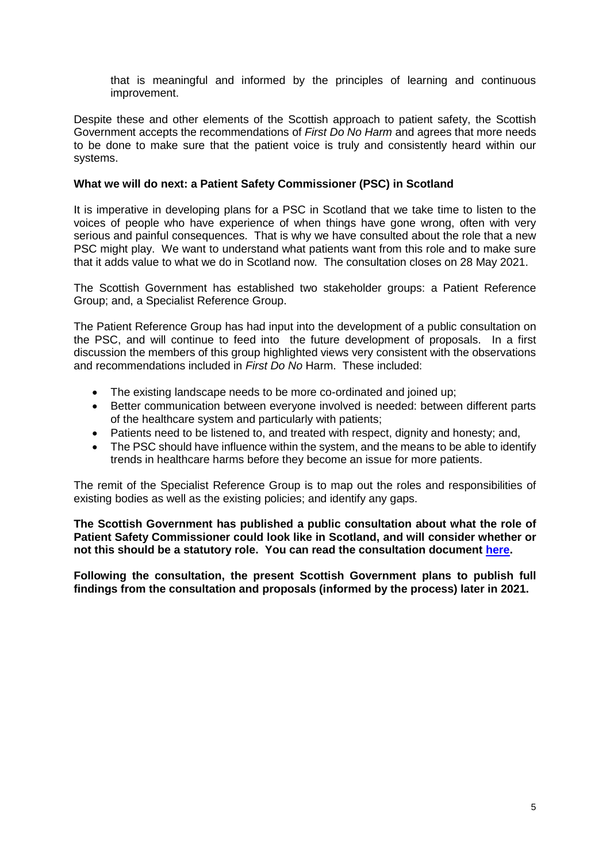that is meaningful and informed by the principles of learning and continuous improvement.

Despite these and other elements of the Scottish approach to patient safety, the Scottish Government accepts the recommendations of *First Do No Harm* and agrees that more needs to be done to make sure that the patient voice is truly and consistently heard within our systems.

#### **What we will do next: a Patient Safety Commissioner (PSC) in Scotland**

It is imperative in developing plans for a PSC in Scotland that we take time to listen to the voices of people who have experience of when things have gone wrong, often with very serious and painful consequences. That is why we have consulted about the role that a new PSC might play. We want to understand what patients want from this role and to make sure that it adds value to what we do in Scotland now. The consultation closes on 28 May 2021.

The Scottish Government has established two stakeholder groups: a Patient Reference Group; and, a Specialist Reference Group.

The Patient Reference Group has had input into the development of a public consultation on the PSC, and will continue to feed into the future development of proposals. In a first discussion the members of this group highlighted views very consistent with the observations and recommendations included in *First Do No* Harm. These included:

- The existing landscape needs to be more co-ordinated and joined up;
- Better communication between everyone involved is needed: between different parts of the healthcare system and particularly with patients;
- Patients need to be listened to, and treated with respect, dignity and honesty; and,
- The PSC should have influence within the system, and the means to be able to identify trends in healthcare harms before they become an issue for more patients.

The remit of the Specialist Reference Group is to map out the roles and responsibilities of existing bodies as well as the existing policies; and identify any gaps.

**The Scottish Government has published a public consultation about what the role of Patient Safety Commissioner could look like in Scotland, and will consider whether or not this should be a statutory role. You can read the consultation document [here.](https://www.gov.scot/publications/consultation-patient-safety-commissioner-role-scotland/)**

**Following the consultation, the present Scottish Government plans to publish full findings from the consultation and proposals (informed by the process) later in 2021.**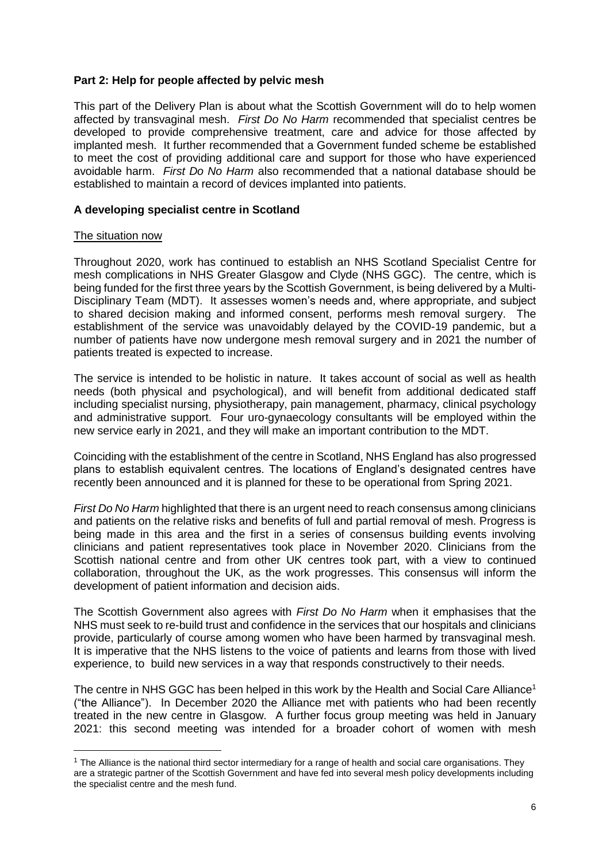## **Part 2: Help for people affected by pelvic mesh**

This part of the Delivery Plan is about what the Scottish Government will do to help women affected by transvaginal mesh. *First Do No Harm* recommended that specialist centres be developed to provide comprehensive treatment, care and advice for those affected by implanted mesh. It further recommended that a Government funded scheme be established to meet the cost of providing additional care and support for those who have experienced avoidable harm. *First Do No Harm* also recommended that a national database should be established to maintain a record of devices implanted into patients.

## **A developing specialist centre in Scotland**

## The situation now

1

Throughout 2020, work has continued to establish an NHS Scotland Specialist Centre for mesh complications in NHS Greater Glasgow and Clyde (NHS GGC). The centre, which is being funded for the first three years by the Scottish Government, is being delivered by a Multi-Disciplinary Team (MDT). It assesses women's needs and, where appropriate, and subject to shared decision making and informed consent, performs mesh removal surgery. The establishment of the service was unavoidably delayed by the COVID-19 pandemic, but a number of patients have now undergone mesh removal surgery and in 2021 the number of patients treated is expected to increase.

The service is intended to be holistic in nature. It takes account of social as well as health needs (both physical and psychological), and will benefit from additional dedicated staff including specialist nursing, physiotherapy, pain management, pharmacy, clinical psychology and administrative support. Four uro-gynaecology consultants will be employed within the new service early in 2021, and they will make an important contribution to the MDT.

Coinciding with the establishment of the centre in Scotland, NHS England has also progressed plans to establish equivalent centres. The locations of England's designated centres have recently been announced and it is planned for these to be operational from Spring 2021.

*First Do No Harm* highlighted that there is an urgent need to reach consensus among clinicians and patients on the relative risks and benefits of full and partial removal of mesh. Progress is being made in this area and the first in a series of consensus building events involving clinicians and patient representatives took place in November 2020. Clinicians from the Scottish national centre and from other UK centres took part, with a view to continued collaboration, throughout the UK, as the work progresses. This consensus will inform the development of patient information and decision aids.

The Scottish Government also agrees with *First Do No Harm* when it emphasises that the NHS must seek to re-build trust and confidence in the services that our hospitals and clinicians provide, particularly of course among women who have been harmed by transvaginal mesh. It is imperative that the NHS listens to the voice of patients and learns from those with lived experience, to build new services in a way that responds constructively to their needs.

The centre in NHS GGC has been helped in this work by the Health and Social Care Alliance<sup>1</sup> ("the Alliance"). In December 2020 the Alliance met with patients who had been recently treated in the new centre in Glasgow. A further focus group meeting was held in January 2021: this second meeting was intended for a broader cohort of women with mesh

<sup>&</sup>lt;sup>1</sup> The Alliance is the national third sector intermediary for a range of health and social care organisations. They are a strategic partner of the Scottish Government and have fed into several mesh policy developments including the specialist centre and the mesh fund.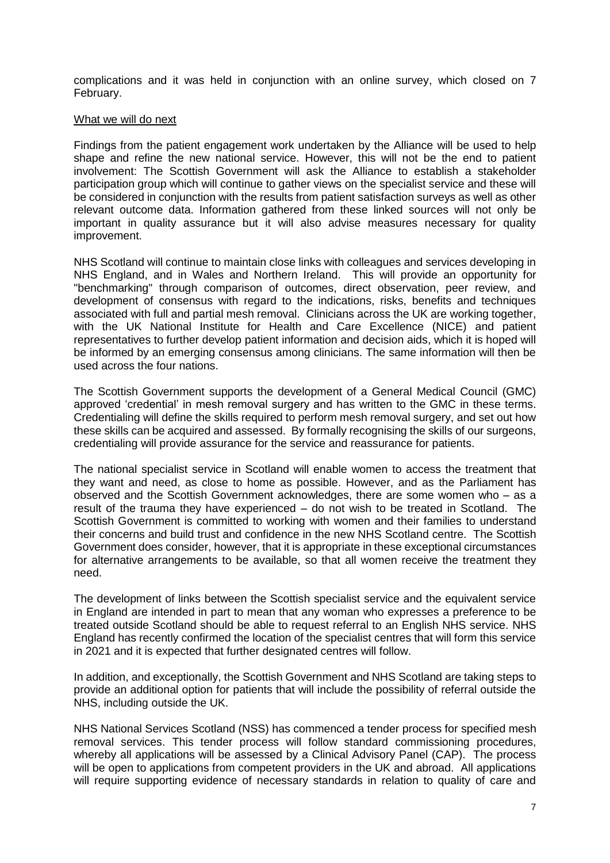complications and it was held in conjunction with an online survey, which closed on 7 February.

#### What we will do next

Findings from the patient engagement work undertaken by the Alliance will be used to help shape and refine the new national service. However, this will not be the end to patient involvement: The Scottish Government will ask the Alliance to establish a stakeholder participation group which will continue to gather views on the specialist service and these will be considered in conjunction with the results from patient satisfaction surveys as well as other relevant outcome data. Information gathered from these linked sources will not only be important in quality assurance but it will also advise measures necessary for quality improvement.

NHS Scotland will continue to maintain close links with colleagues and services developing in NHS England, and in Wales and Northern Ireland. This will provide an opportunity for "benchmarking" through comparison of outcomes, direct observation, peer review, and development of consensus with regard to the indications, risks, benefits and techniques associated with full and partial mesh removal. Clinicians across the UK are working together, with the UK National Institute for Health and Care Excellence (NICE) and patient representatives to further develop patient information and decision aids, which it is hoped will be informed by an emerging consensus among clinicians. The same information will then be used across the four nations.

The Scottish Government supports the development of a General Medical Council (GMC) approved 'credential' in mesh removal surgery and has written to the GMC in these terms. Credentialing will define the skills required to perform mesh removal surgery, and set out how these skills can be acquired and assessed. By formally recognising the skills of our surgeons, credentialing will provide assurance for the service and reassurance for patients.

The national specialist service in Scotland will enable women to access the treatment that they want and need, as close to home as possible. However, and as the Parliament has observed and the Scottish Government acknowledges, there are some women who – as a result of the trauma they have experienced – do not wish to be treated in Scotland. The Scottish Government is committed to working with women and their families to understand their concerns and build trust and confidence in the new NHS Scotland centre. The Scottish Government does consider, however, that it is appropriate in these exceptional circumstances for alternative arrangements to be available, so that all women receive the treatment they need.

The development of links between the Scottish specialist service and the equivalent service in England are intended in part to mean that any woman who expresses a preference to be treated outside Scotland should be able to request referral to an English NHS service. NHS England has recently confirmed the location of the specialist centres that will form this service in 2021 and it is expected that further designated centres will follow.

In addition, and exceptionally, the Scottish Government and NHS Scotland are taking steps to provide an additional option for patients that will include the possibility of referral outside the NHS, including outside the UK.

NHS National Services Scotland (NSS) has commenced a tender process for specified mesh removal services. This tender process will follow standard commissioning procedures, whereby all applications will be assessed by a Clinical Advisory Panel (CAP). The process will be open to applications from competent providers in the UK and abroad. All applications will require supporting evidence of necessary standards in relation to quality of care and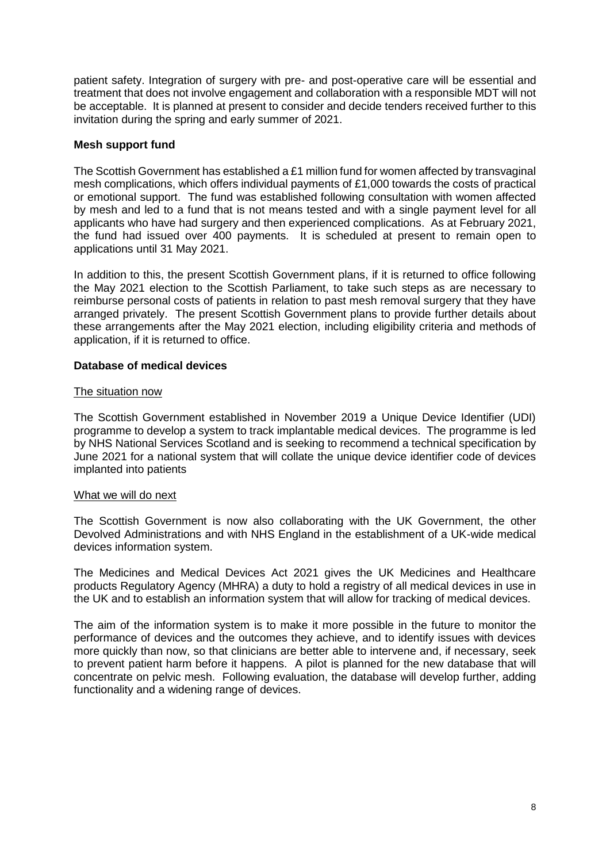patient safety. Integration of surgery with pre- and post-operative care will be essential and treatment that does not involve engagement and collaboration with a responsible MDT will not be acceptable. It is planned at present to consider and decide tenders received further to this invitation during the spring and early summer of 2021.

## **Mesh support fund**

The Scottish Government has established a £1 million fund for women affected by transvaginal mesh complications, which offers individual payments of £1,000 towards the costs of practical or emotional support. The fund was established following consultation with women affected by mesh and led to a fund that is not means tested and with a single payment level for all applicants who have had surgery and then experienced complications. As at February 2021, the fund had issued over 400 payments. It is scheduled at present to remain open to applications until 31 May 2021.

In addition to this, the present Scottish Government plans, if it is returned to office following the May 2021 election to the Scottish Parliament, to take such steps as are necessary to reimburse personal costs of patients in relation to past mesh removal surgery that they have arranged privately. The present Scottish Government plans to provide further details about these arrangements after the May 2021 election, including eligibility criteria and methods of application, if it is returned to office.

# **Database of medical devices**

## The situation now

The Scottish Government established in November 2019 a Unique Device Identifier (UDI) programme to develop a system to track implantable medical devices. The programme is led by NHS National Services Scotland and is seeking to recommend a technical specification by June 2021 for a national system that will collate the unique device identifier code of devices implanted into patients

## What we will do next

The Scottish Government is now also collaborating with the UK Government, the other Devolved Administrations and with NHS England in the establishment of a UK-wide medical devices information system.

The Medicines and Medical Devices Act 2021 gives the UK Medicines and Healthcare products Regulatory Agency (MHRA) a duty to hold a registry of all medical devices in use in the UK and to establish an information system that will allow for tracking of medical devices.

The aim of the information system is to make it more possible in the future to monitor the performance of devices and the outcomes they achieve, and to identify issues with devices more quickly than now, so that clinicians are better able to intervene and, if necessary, seek to prevent patient harm before it happens. A pilot is planned for the new database that will concentrate on pelvic mesh. Following evaluation, the database will develop further, adding functionality and a widening range of devices.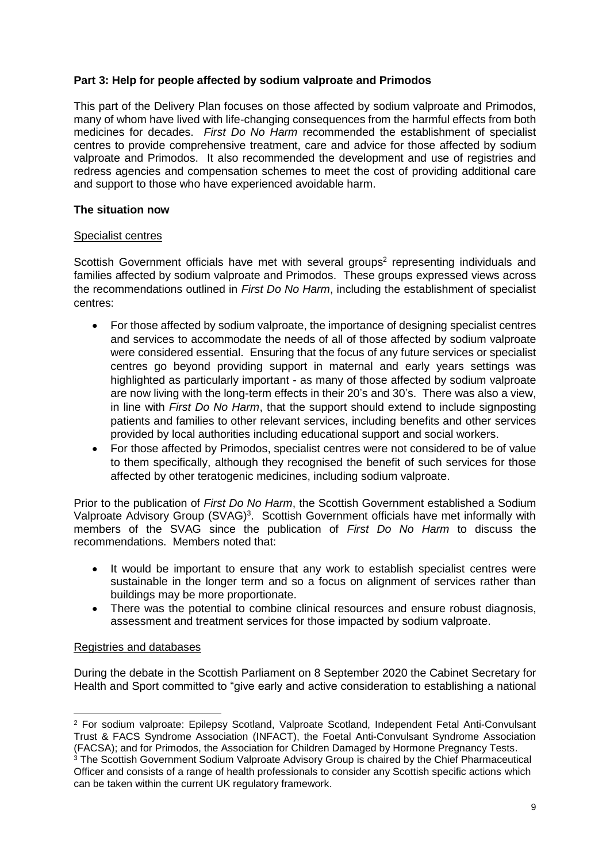# **Part 3: Help for people affected by sodium valproate and Primodos**

This part of the Delivery Plan focuses on those affected by sodium valproate and Primodos, many of whom have lived with life-changing consequences from the harmful effects from both medicines for decades. *First Do No Harm* recommended the establishment of specialist centres to provide comprehensive treatment, care and advice for those affected by sodium valproate and Primodos. It also recommended the development and use of registries and redress agencies and compensation schemes to meet the cost of providing additional care and support to those who have experienced avoidable harm.

## **The situation now**

## Specialist centres

Scottish Government officials have met with several groups<sup>2</sup> representing individuals and families affected by sodium valproate and Primodos. These groups expressed views across the recommendations outlined in *First Do No Harm*, including the establishment of specialist centres:

- For those affected by sodium valproate, the importance of designing specialist centres and services to accommodate the needs of all of those affected by sodium valproate were considered essential. Ensuring that the focus of any future services or specialist centres go beyond providing support in maternal and early years settings was highlighted as particularly important - as many of those affected by sodium valproate are now living with the long-term effects in their 20's and 30's. There was also a view, in line with *First Do No Harm*, that the support should extend to include signposting patients and families to other relevant services, including benefits and other services provided by local authorities including educational support and social workers.
- For those affected by Primodos, specialist centres were not considered to be of value to them specifically, although they recognised the benefit of such services for those affected by other teratogenic medicines, including sodium valproate.

Prior to the publication of *First Do No Harm*, the Scottish Government established a Sodium Valproate Advisory Group (SVAG)<sup>3</sup>. Scottish Government officials have met informally with members of the SVAG since the publication of *First Do No Harm* to discuss the recommendations. Members noted that:

- It would be important to ensure that any work to establish specialist centres were sustainable in the longer term and so a focus on alignment of services rather than buildings may be more proportionate.
- There was the potential to combine clinical resources and ensure robust diagnosis, assessment and treatment services for those impacted by sodium valproate.

## Registries and databases

1

During the debate in the Scottish Parliament on 8 September 2020 the Cabinet Secretary for Health and Sport committed to "give early and active consideration to establishing a national

<sup>2</sup> For sodium valproate: Epilepsy Scotland, Valproate Scotland, Independent Fetal Anti-Convulsant Trust & FACS Syndrome Association (INFACT), the Foetal Anti-Convulsant Syndrome Association (FACSA); and for Primodos, the Association for Children Damaged by Hormone Pregnancy Tests.

<sup>&</sup>lt;sup>3</sup> The Scottish Government Sodium Valproate Advisory Group is chaired by the Chief Pharmaceutical Officer and consists of a range of health professionals to consider any Scottish specific actions which can be taken within the current UK regulatory framework.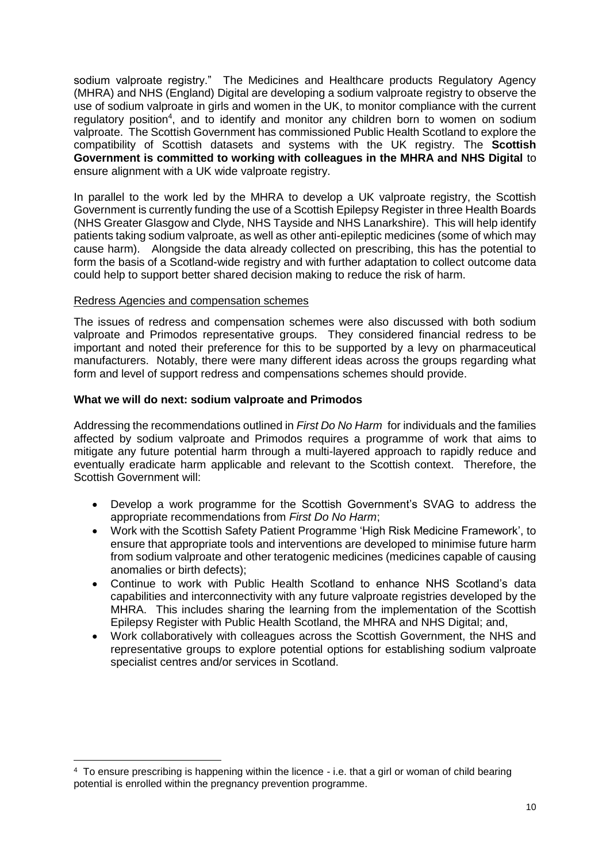sodium valproate registry." The Medicines and Healthcare products Regulatory Agency (MHRA) and NHS (England) Digital are developing a sodium valproate registry to observe the use of sodium valproate in girls and women in the UK, to monitor compliance with the current regulatory position<sup>4</sup>, and to identify and monitor any children born to women on sodium valproate. The Scottish Government has commissioned Public Health Scotland to explore the compatibility of Scottish datasets and systems with the UK registry. The **Scottish Government is committed to working with colleagues in the MHRA and NHS Digital** to ensure alignment with a UK wide valproate registry.

In parallel to the work led by the MHRA to develop a UK valproate registry, the Scottish Government is currently funding the use of a Scottish Epilepsy Register in three Health Boards (NHS Greater Glasgow and Clyde, NHS Tayside and NHS Lanarkshire). This will help identify patients taking sodium valproate, as well as other anti-epileptic medicines (some of which may cause harm). Alongside the data already collected on prescribing, this has the potential to form the basis of a Scotland-wide registry and with further adaptation to collect outcome data could help to support better shared decision making to reduce the risk of harm.

## Redress Agencies and compensation schemes

1

The issues of redress and compensation schemes were also discussed with both sodium valproate and Primodos representative groups. They considered financial redress to be important and noted their preference for this to be supported by a levy on pharmaceutical manufacturers. Notably, there were many different ideas across the groups regarding what form and level of support redress and compensations schemes should provide.

#### **What we will do next: sodium valproate and Primodos**

Addressing the recommendations outlined in *First Do No Harm* for individuals and the families affected by sodium valproate and Primodos requires a programme of work that aims to mitigate any future potential harm through a multi-layered approach to rapidly reduce and eventually eradicate harm applicable and relevant to the Scottish context. Therefore, the Scottish Government will:

- Develop a work programme for the Scottish Government's SVAG to address the appropriate recommendations from *First Do No Harm*;
- Work with the Scottish Safety Patient Programme 'High Risk Medicine Framework', to ensure that appropriate tools and interventions are developed to minimise future harm from sodium valproate and other teratogenic medicines (medicines capable of causing anomalies or birth defects);
- Continue to work with Public Health Scotland to enhance NHS Scotland's data capabilities and interconnectivity with any future valproate registries developed by the MHRA. This includes sharing the learning from the implementation of the Scottish Epilepsy Register with Public Health Scotland, the MHRA and NHS Digital; and,
- Work collaboratively with colleagues across the Scottish Government, the NHS and representative groups to explore potential options for establishing sodium valproate specialist centres and/or services in Scotland.

<sup>4</sup> To ensure prescribing is happening within the licence - i.e. that a girl or woman of child bearing potential is enrolled within the pregnancy prevention programme.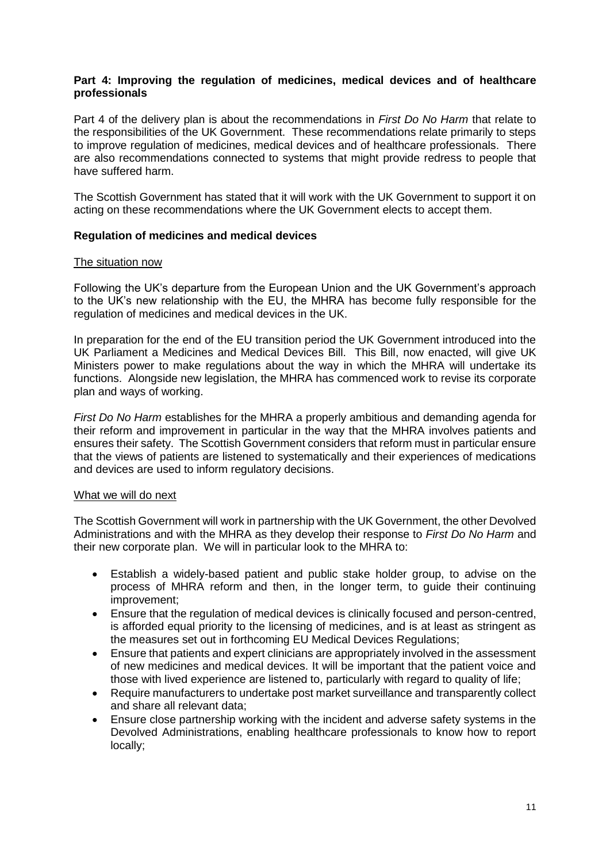## **Part 4: Improving the regulation of medicines, medical devices and of healthcare professionals**

Part 4 of the delivery plan is about the recommendations in *First Do No Harm* that relate to the responsibilities of the UK Government. These recommendations relate primarily to steps to improve regulation of medicines, medical devices and of healthcare professionals. There are also recommendations connected to systems that might provide redress to people that have suffered harm.

The Scottish Government has stated that it will work with the UK Government to support it on acting on these recommendations where the UK Government elects to accept them.

#### **Regulation of medicines and medical devices**

#### The situation now

Following the UK's departure from the European Union and the UK Government's approach to the UK's new relationship with the EU, the MHRA has become fully responsible for the regulation of medicines and medical devices in the UK.

In preparation for the end of the EU transition period the UK Government introduced into the UK Parliament a Medicines and Medical Devices Bill. This Bill, now enacted, will give UK Ministers power to make regulations about the way in which the MHRA will undertake its functions. Alongside new legislation, the MHRA has commenced work to revise its corporate plan and ways of working.

*First Do No Harm* establishes for the MHRA a properly ambitious and demanding agenda for their reform and improvement in particular in the way that the MHRA involves patients and ensures their safety. The Scottish Government considers that reform must in particular ensure that the views of patients are listened to systematically and their experiences of medications and devices are used to inform regulatory decisions.

#### What we will do next

The Scottish Government will work in partnership with the UK Government, the other Devolved Administrations and with the MHRA as they develop their response to *First Do No Harm* and their new corporate plan. We will in particular look to the MHRA to:

- Establish a widely-based patient and public stake holder group, to advise on the process of MHRA reform and then, in the longer term, to guide their continuing improvement;
- Ensure that the regulation of medical devices is clinically focused and person-centred, is afforded equal priority to the licensing of medicines, and is at least as stringent as the measures set out in forthcoming EU Medical Devices Regulations;
- Ensure that patients and expert clinicians are appropriately involved in the assessment of new medicines and medical devices. It will be important that the patient voice and those with lived experience are listened to, particularly with regard to quality of life;
- Require manufacturers to undertake post market surveillance and transparently collect and share all relevant data;
- Ensure close partnership working with the incident and adverse safety systems in the Devolved Administrations, enabling healthcare professionals to know how to report locally;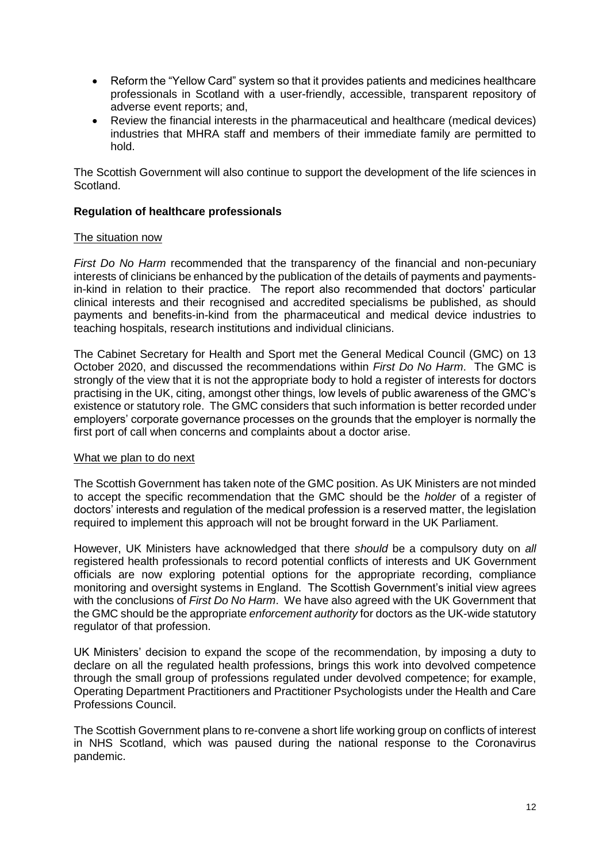- Reform the "Yellow Card" system so that it provides patients and medicines healthcare professionals in Scotland with a user-friendly, accessible, transparent repository of adverse event reports; and,
- Review the financial interests in the pharmaceutical and healthcare (medical devices) industries that MHRA staff and members of their immediate family are permitted to hold.

The Scottish Government will also continue to support the development of the life sciences in Scotland.

#### **Regulation of healthcare professionals**

#### The situation now

*First Do No Harm* recommended that the transparency of the financial and non-pecuniary interests of clinicians be enhanced by the publication of the details of payments and paymentsin-kind in relation to their practice. The report also recommended that doctors' particular clinical interests and their recognised and accredited specialisms be published, as should payments and benefits-in-kind from the pharmaceutical and medical device industries to teaching hospitals, research institutions and individual clinicians.

The Cabinet Secretary for Health and Sport met the General Medical Council (GMC) on 13 October 2020, and discussed the recommendations within *First Do No Harm*. The GMC is strongly of the view that it is not the appropriate body to hold a register of interests for doctors practising in the UK, citing, amongst other things, low levels of public awareness of the GMC's existence or statutory role. The GMC considers that such information is better recorded under employers' corporate governance processes on the grounds that the employer is normally the first port of call when concerns and complaints about a doctor arise.

#### What we plan to do next

The Scottish Government has taken note of the GMC position. As UK Ministers are not minded to accept the specific recommendation that the GMC should be the *holder* of a register of doctors' interests and regulation of the medical profession is a reserved matter, the legislation required to implement this approach will not be brought forward in the UK Parliament.

However, UK Ministers have acknowledged that there *should* be a compulsory duty on *all*  registered health professionals to record potential conflicts of interests and UK Government officials are now exploring potential options for the appropriate recording, compliance monitoring and oversight systems in England. The Scottish Government's initial view agrees with the conclusions of *First Do No Harm*. We have also agreed with the UK Government that the GMC should be the appropriate *enforcement authority* for doctors as the UK-wide statutory regulator of that profession.

UK Ministers' decision to expand the scope of the recommendation, by imposing a duty to declare on all the regulated health professions, brings this work into devolved competence through the small group of professions regulated under devolved competence; for example, Operating Department Practitioners and Practitioner Psychologists under the Health and Care Professions Council.

The Scottish Government plans to re-convene a short life working group on conflicts of interest in NHS Scotland, which was paused during the national response to the Coronavirus pandemic.